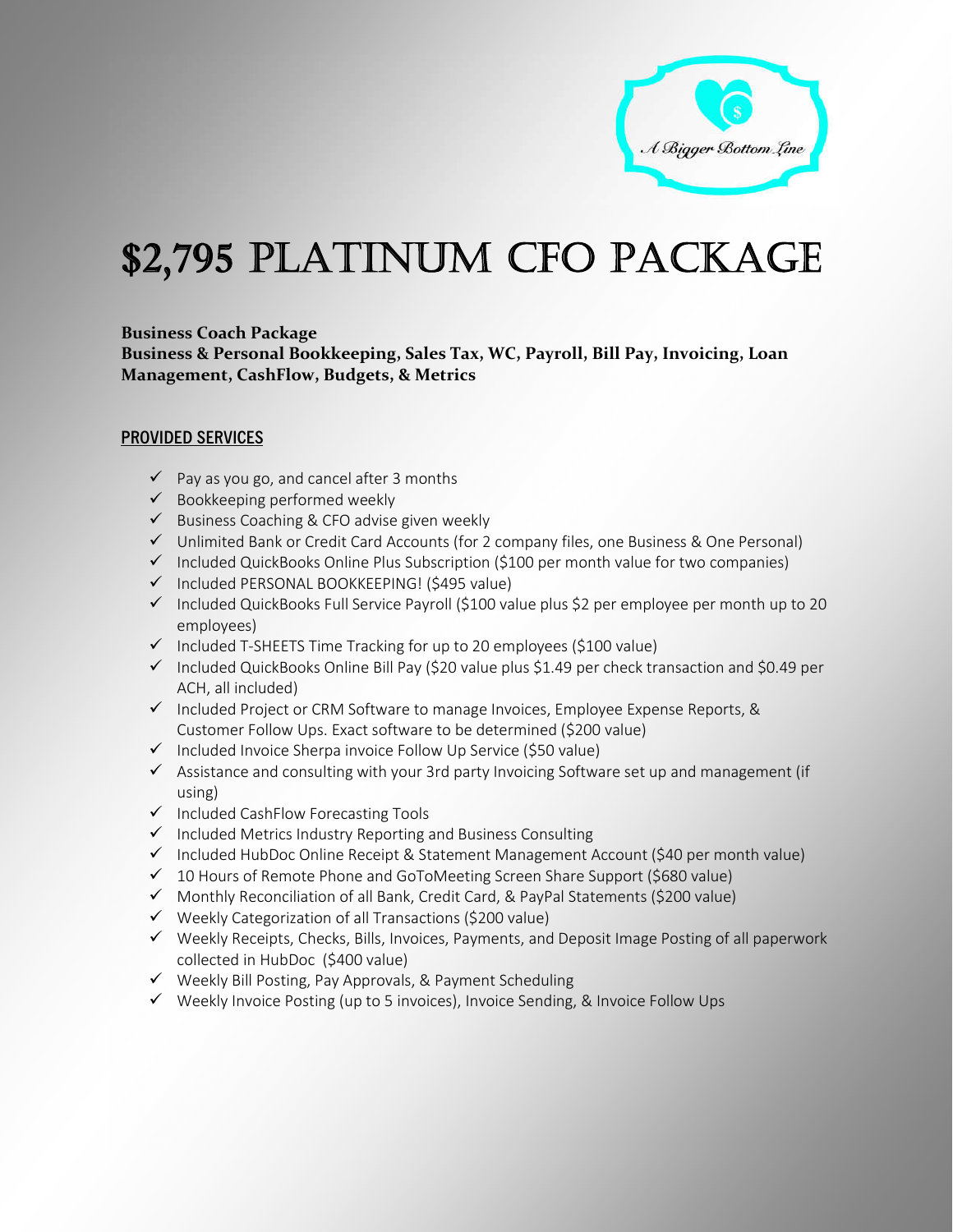

# \$2,795 PLATINUM CFO PACKAGE

# **Business Coach Package**

**Business & Personal Bookkeeping, Sales Tax, WC, Payroll, Bill Pay, Invoicing, Loan Management, CashFlow, Budgets, & Metrics**

## **PROVIDED SERVICES**

- $\checkmark$  Pay as you go, and cancel after 3 months
- $\checkmark$  Bookkeeping performed weekly
- $\checkmark$  Business Coaching & CFO advise given weekly
- Unlimited Bank or Credit Card Accounts (for 2 company files, one Business & One Personal)
- $\checkmark$  Included QuickBooks Online Plus Subscription (\$100 per month value for two companies)
- $\checkmark$  Included PERSONAL BOOKKEEPING! (\$495 value)
- $\checkmark$  Included QuickBooks Full Service Payroll (\$100 value plus \$2 per employee per month up to 20 employees)
- $\checkmark$  Included T-SHEETS Time Tracking for up to 20 employees (\$100 value)
- $\checkmark$  Included QuickBooks Online Bill Pay (\$20 value plus \$1.49 per check transaction and \$0.49 per ACH, all included)
- $\checkmark$  Included Project or CRM Software to manage Invoices, Employee Expense Reports, & Customer Follow Ups. Exact software to be determined (\$200 value)
- $\checkmark$  Included Invoice Sherpa invoice Follow Up Service (\$50 value)
- $\checkmark$  Assistance and consulting with your 3rd party Invoicing Software set up and management (if using)
- $\checkmark$  Included CashFlow Forecasting Tools
- $\checkmark$  Included Metrics Industry Reporting and Business Consulting
- $\checkmark$  Included HubDoc Online Receipt & Statement Management Account (\$40 per month value)
- $\checkmark$  10 Hours of Remote Phone and GoToMeeting Screen Share Support (\$680 value)
- Monthly Reconciliation of all Bank, Credit Card, & PayPal Statements (\$200 value)
- $\checkmark$  Weekly Categorization of all Transactions (\$200 value)
- Weekly Receipts, Checks, Bills, Invoices, Payments, and Deposit Image Posting of all paperwork collected in HubDoc (\$400 value)
- $\checkmark$  Weekly Bill Posting, Pay Approvals, & Payment Scheduling
- Weekly Invoice Posting (up to 5 invoices), Invoice Sending, & Invoice Follow Ups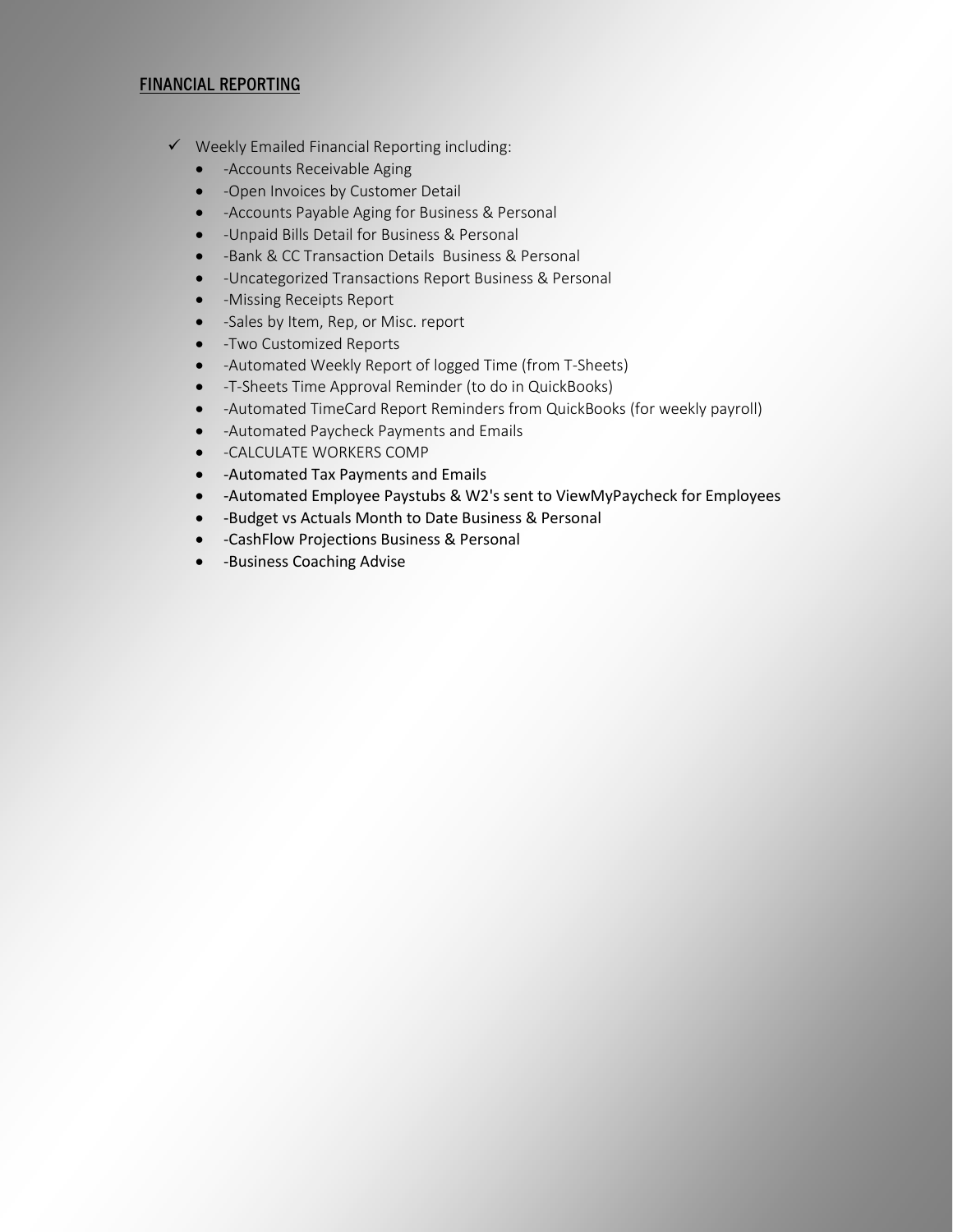## **FINANCIAL REPORTING**

- $\checkmark$  Weekly Emailed Financial Reporting including:
	- - Accounts Receivable Aging
	- -Open Invoices by Customer Detail
	- -Accounts Payable Aging for Business & Personal
	- -Unpaid Bills Detail for Business & Personal
	- -Bank & CC Transaction Details Business & Personal
	- -Uncategorized Transactions Report Business & Personal
	- -Missing Receipts Report
	- -Sales by Item, Rep, or Misc. report
	- -Two Customized Reports
	- -Automated Weekly Report of logged Time (from T-Sheets)
	- -T-Sheets Time Approval Reminder (to do in QuickBooks)
	- -Automated TimeCard Report Reminders from QuickBooks (for weekly payroll)
	- -Automated Paycheck Payments and Emails
	- **.** -CALCULATE WORKERS COMP
	- -Automated Tax Payments and Emails
	- -Automated Employee Paystubs & W2's sent to ViewMyPaycheck for Employees
	- -Budget vs Actuals Month to Date Business & Personal
	- -CashFlow Projections Business & Personal
	- **.** -Business Coaching Advise